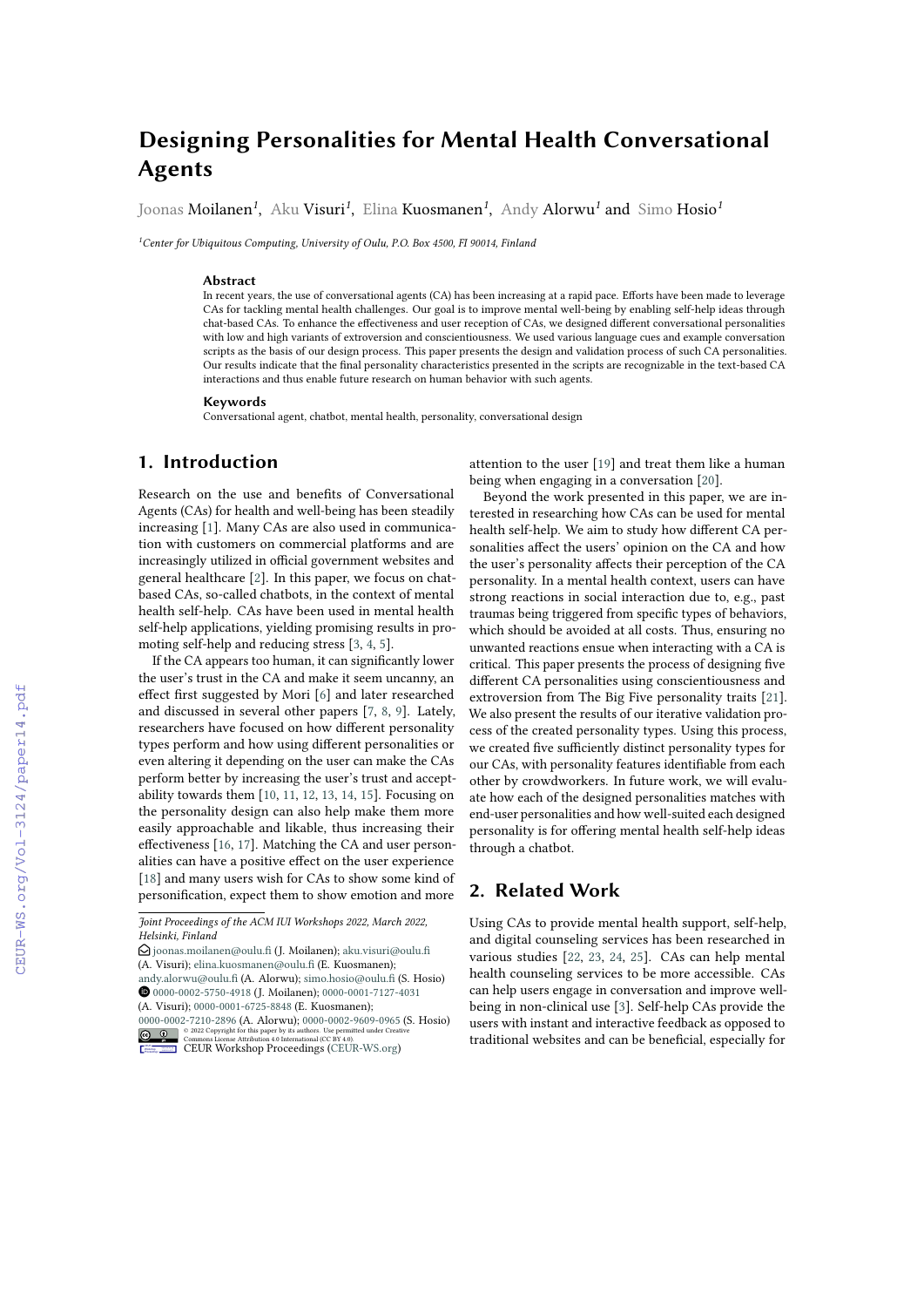# **Designing Personalities for Mental Health Conversational Agents**

Joonas Moilanen*<sup>1</sup>* , Aku Visuri*<sup>1</sup>* , Elina Kuosmanen*<sup>1</sup>* , Andy Alorwu*<sup>1</sup>* and Simo Hosio*<sup>1</sup>*

*<sup>1</sup>Center for Ubiquitous Computing, University of Oulu, P.O. Box 4500, FI 90014, Finland*

#### **Abstract**

In recent years, the use of conversational agents (CA) has been increasing at a rapid pace. Efforts have been made to leverage CAs for tackling mental health challenges. Our goal is to improve mental well-being by enabling self-help ideas through chat-based CAs. To enhance the effectiveness and user reception of CAs, we designed different conversational personalities with low and high variants of extroversion and conscientiousness. We used various language cues and example conversation scripts as the basis of our design process. This paper presents the design and validation process of such CA personalities. Our results indicate that the final personality characteristics presented in the scripts are recognizable in the text-based CA interactions and thus enable future research on human behavior with such agents.

#### **Keywords**

Conversational agent, chatbot, mental health, personality, conversational design

## **1. Introduction**

Research on the use and benefits of Conversational Agents (CAs) for health and well-being has been steadily increasing [\[1\]](#page--1-0). Many CAs are also used in communication with customers on commercial platforms and are increasingly utilized in official government websites and general healthcare [\[2\]](#page--1-1). In this paper, we focus on chatbased CAs, so-called chatbots, in the context of mental health self-help. CAs have been used in mental health self-help applications, yielding promising results in promoting self-help and reducing stress [\[3,](#page--1-2) [4,](#page--1-3) [5\]](#page--1-4).

If the CA appears too human, it can significantly lower the user's trust in the CA and make it seem uncanny, an effect first suggested by Mori [\[6\]](#page--1-5) and later researched and discussed in several other papers [\[7,](#page--1-6) [8,](#page--1-7) [9\]](#page--1-8). Lately, researchers have focused on how different personality types perform and how using different personalities or even altering it depending on the user can make the CAs perform better by increasing the user's trust and acceptability towards them [\[10,](#page--1-9) [11,](#page--1-10) [12,](#page--1-11) [13,](#page--1-12) [14,](#page--1-13) [15\]](#page--1-14). Focusing on the personality design can also help make them more easily approachable and likable, thus increasing their effectiveness [\[16,](#page--1-15) [17\]](#page--1-16). Matching the CA and user personalities can have a positive effect on the user experience [\[18\]](#page--1-17) and many users wish for CAs to show some kind of personification, expect them to show emotion and more attention to the user [\[19\]](#page--1-18) and treat them like a human being when engaging in a conversation [\[20\]](#page--1-19).

Beyond the work presented in this paper, we are interested in researching how CAs can be used for mental health self-help. We aim to study how different CA personalities affect the users' opinion on the CA and how the user's personality affects their perception of the CA personality. In a mental health context, users can have strong reactions in social interaction due to, e.g., past traumas being triggered from specific types of behaviors, which should be avoided at all costs. Thus, ensuring no unwanted reactions ensue when interacting with a CA is critical. This paper presents the process of designing five different CA personalities using conscientiousness and extroversion from The Big Five personality traits [\[21\]](#page--1-20). We also present the results of our iterative validation process of the created personality types. Using this process, we created five sufficiently distinct personality types for our CAs, with personality features identifiable from each other by crowdworkers. In future work, we will evaluate how each of the designed personalities matches with end-user personalities and how well-suited each designed personality is for offering mental health self-help ideas through a chatbot.

## **2. Related Work**

Using CAs to provide mental health support, self-help, and digital counseling services has been researched in various studies [\[22,](#page--1-21) [23,](#page--1-22) [24,](#page--1-23) [25\]](#page--1-24). CAs can help mental health counseling services to be more accessible. CAs can help users engage in conversation and improve wellbeing in non-clinical use [\[3\]](#page--1-2). Self-help CAs provide the users with instant and interactive feedback as opposed to traditional websites and can be beneficial, especially for

*Joint Proceedings of the ACM IUI Workshops 2022, March 2022, Helsinki, Finland*

 $\Theta$  [joonas.moilanen@oulu.fi](mailto:joonas.moilanen@oulu.fi) (J. Moilanen); [aku.visuri@oulu.fi](mailto:aku.visuri@oulu.fi)

<sup>(</sup>A. Visuri); [elina.kuosmanen@oulu.fi](mailto:elina.kuosmanen@oulu.fi) (E. Kuosmanen);

[andy.alorwu@oulu.fi](mailto:andy.alorwu@oulu.fi) (A. Alorwu); [simo.hosio@oulu.fi](mailto:simo.hosio@oulu.fi) (S. Hosio) Orcid [0000-0002-5750-4918](https://orcid.org/0000-0002-5750-4918) (J. Moilanen); [0000-0001-7127-4031](https://orcid.org/0000-0001-7127-4031) (A. Visuri); [0000-0001-6725-8848](https://orcid.org/0000-0001-6725-8848) (E. Kuosmanen);

[<sup>0000-0002-7210-2896</sup>](https://orcid.org/0000-0002-7210-2896) (A. Alorwu); [0000-0002-9609-0965](https://orcid.org/0000-0002-9609-0965) (S. Hosio) **a 0** e 2022 Copyright for this paper by its authors. Use permitted under Creative<br> **CEUR Worksshorp 4tribution 4.0 International (CEBUR Worksshop [Proceedings](http://ceur-ws.org) (CEBUR-WS.org)**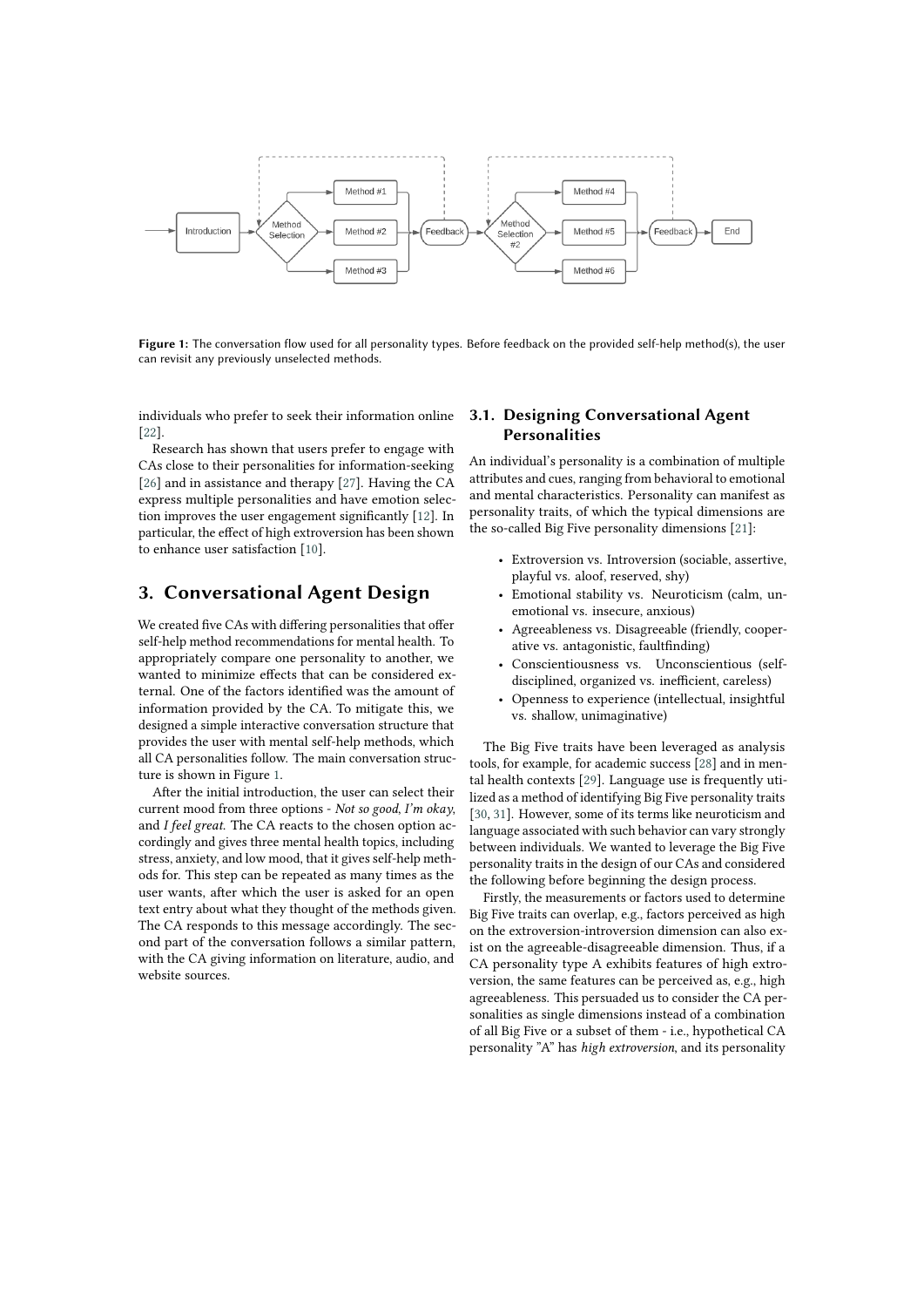

Figure 1: The conversation flow used for all personality types. Before feedback on the provided self-help method(s), the user can revisit any previously unselected methods.

individuals who prefer to seek their information online [\[22\]](#page-7-0).

Research has shown that users prefer to engage with CAs close to their personalities for information-seeking [\[26\]](#page-7-1) and in assistance and therapy [\[27\]](#page-7-2). Having the CA express multiple personalities and have emotion selection improves the user engagement significantly [\[12\]](#page-7-3). In particular, the effect of high extroversion has been shown to enhance user satisfaction [\[10\]](#page-7-4).

## **3. Conversational Agent Design**

We created five CAs with differing personalities that offer self-help method recommendations for mental health. To appropriately compare one personality to another, we wanted to minimize effects that can be considered external. One of the factors identified was the amount of information provided by the CA. To mitigate this, we designed a simple interactive conversation structure that provides the user with mental self-help methods, which all CA personalities follow. The main conversation structure is shown in Figure [1.](#page-1-0)

After the initial introduction, the user can select their current mood from three options - *Not so good*, *I'm okay*, and *I feel great*. The CA reacts to the chosen option accordingly and gives three mental health topics, including stress, anxiety, and low mood, that it gives self-help methods for. This step can be repeated as many times as the user wants, after which the user is asked for an open text entry about what they thought of the methods given. The CA responds to this message accordingly. The second part of the conversation follows a similar pattern, with the CA giving information on literature, audio, and website sources.

## <span id="page-1-0"></span>**3.1. Designing Conversational Agent Personalities**

An individual's personality is a combination of multiple attributes and cues, ranging from behavioral to emotional and mental characteristics. Personality can manifest as personality traits, of which the typical dimensions are the so-called Big Five personality dimensions [\[21\]](#page-7-5):

- Extroversion vs. Introversion (sociable, assertive, playful vs. aloof, reserved, shy)
- Emotional stability vs. Neuroticism (calm, unemotional vs. insecure, anxious)
- Agreeableness vs. Disagreeable (friendly, cooperative vs. antagonistic, faultfinding)
- Conscientiousness vs. Unconscientious (selfdisciplined, organized vs. inefficient, careless)
- Openness to experience (intellectual, insightful vs. shallow, unimaginative)

The Big Five traits have been leveraged as analysis tools, for example, for academic success [\[28\]](#page-8-0) and in mental health contexts [\[29\]](#page-8-1). Language use is frequently utilized as a method of identifying Big Five personality traits [\[30,](#page-8-2) [31\]](#page-8-3). However, some of its terms like neuroticism and language associated with such behavior can vary strongly between individuals. We wanted to leverage the Big Five personality traits in the design of our CAs and considered the following before beginning the design process.

Firstly, the measurements or factors used to determine Big Five traits can overlap, e.g., factors perceived as high on the extroversion-introversion dimension can also exist on the agreeable-disagreeable dimension. Thus, if a CA personality type A exhibits features of high extroversion, the same features can be perceived as, e.g., high agreeableness. This persuaded us to consider the CA personalities as single dimensions instead of a combination of all Big Five or a subset of them - i.e., hypothetical CA personality "A" has *high extroversion*, and its personality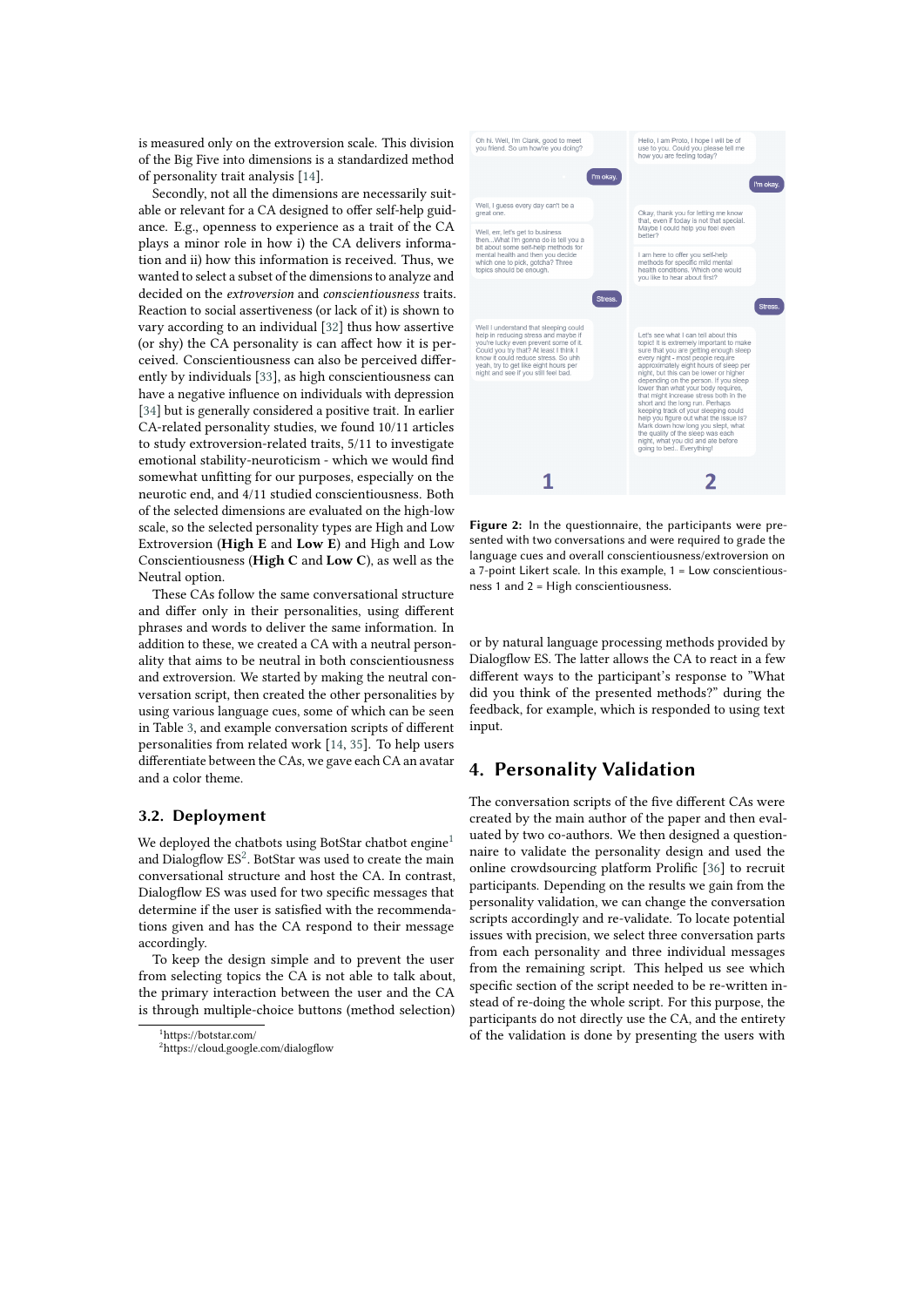is measured only on the extroversion scale. This division of the Big Five into dimensions is a standardized method of personality trait analysis [\[14\]](#page-7-6).

Secondly, not all the dimensions are necessarily suitable or relevant for a CA designed to offer self-help guidance. E.g., openness to experience as a trait of the CA plays a minor role in how i) the CA delivers information and ii) how this information is received. Thus, we wanted to select a subset of the dimensions to analyze and decided on the *extroversion* and *conscientiousness* traits. Reaction to social assertiveness (or lack of it) is shown to vary according to an individual [\[32\]](#page-8-4) thus how assertive (or shy) the CA personality is can affect how it is perceived. Conscientiousness can also be perceived differently by individuals [\[33\]](#page-8-5), as high conscientiousness can have a negative influence on individuals with depression [\[34\]](#page-8-6) but is generally considered a positive trait. In earlier CA-related personality studies, we found 10/11 articles to study extroversion-related traits, 5/11 to investigate emotional stability-neuroticism - which we would find somewhat unfitting for our purposes, especially on the neurotic end, and 4/11 studied conscientiousness. Both of the selected dimensions are evaluated on the high-low scale, so the selected personality types are High and Low Extroversion (**High E** and **Low E**) and High and Low Conscientiousness (**High C** and **Low C**), as well as the Neutral option.

These CAs follow the same conversational structure and differ only in their personalities, using different phrases and words to deliver the same information. In addition to these, we created a CA with a neutral personality that aims to be neutral in both conscientiousness and extroversion. We started by making the neutral conversation script, then created the other personalities by using various language cues, some of which can be seen in Table [3,](#page-9-0) and example conversation scripts of different personalities from related work [\[14,](#page-7-6) [35\]](#page-8-7). To help users differentiate between the CAs, we gave each CA an avatar and a color theme.

### **3.2. Deployment**

We deployed the chatbots using BotStar chatbot engine<sup>[1](#page-2-0)</sup> and Dialogflow  $ES^2$  $ES^2$ . BotStar was used to create the main conversational structure and host the CA. In contrast, Dialogflow ES was used for two specific messages that determine if the user is satisfied with the recommendations given and has the CA respond to their message accordingly.

To keep the design simple and to prevent the user from selecting topics the CA is not able to talk about, the primary interaction between the user and the CA is through multiple-choice buttons (method selection)



**Figure 2:** In the questionnaire, the participants were presented with two conversations and were required to grade the language cues and overall conscientiousness/extroversion on a 7-point Likert scale. In this example, 1 = Low conscientiousness 1 and 2 = High conscientiousness.

<span id="page-2-2"></span>or by natural language processing methods provided by Dialogflow ES. The latter allows the CA to react in a few different ways to the participant's response to "What did you think of the presented methods?" during the feedback, for example, which is responded to using text input.

### **4. Personality Validation**

The conversation scripts of the five different CAs were created by the main author of the paper and then evaluated by two co-authors. We then designed a questionnaire to validate the personality design and used the online crowdsourcing platform Prolific [\[36\]](#page-8-8) to recruit participants. Depending on the results we gain from the personality validation, we can change the conversation scripts accordingly and re-validate. To locate potential issues with precision, we select three conversation parts from each personality and three individual messages from the remaining script. This helped us see which specific section of the script needed to be re-written instead of re-doing the whole script. For this purpose, the participants do not directly use the CA, and the entirety of the validation is done by presenting the users with

<span id="page-2-1"></span><span id="page-2-0"></span><sup>1</sup>https://botstar.com/ <sup>2</sup>https://cloud.google.com/dialogflow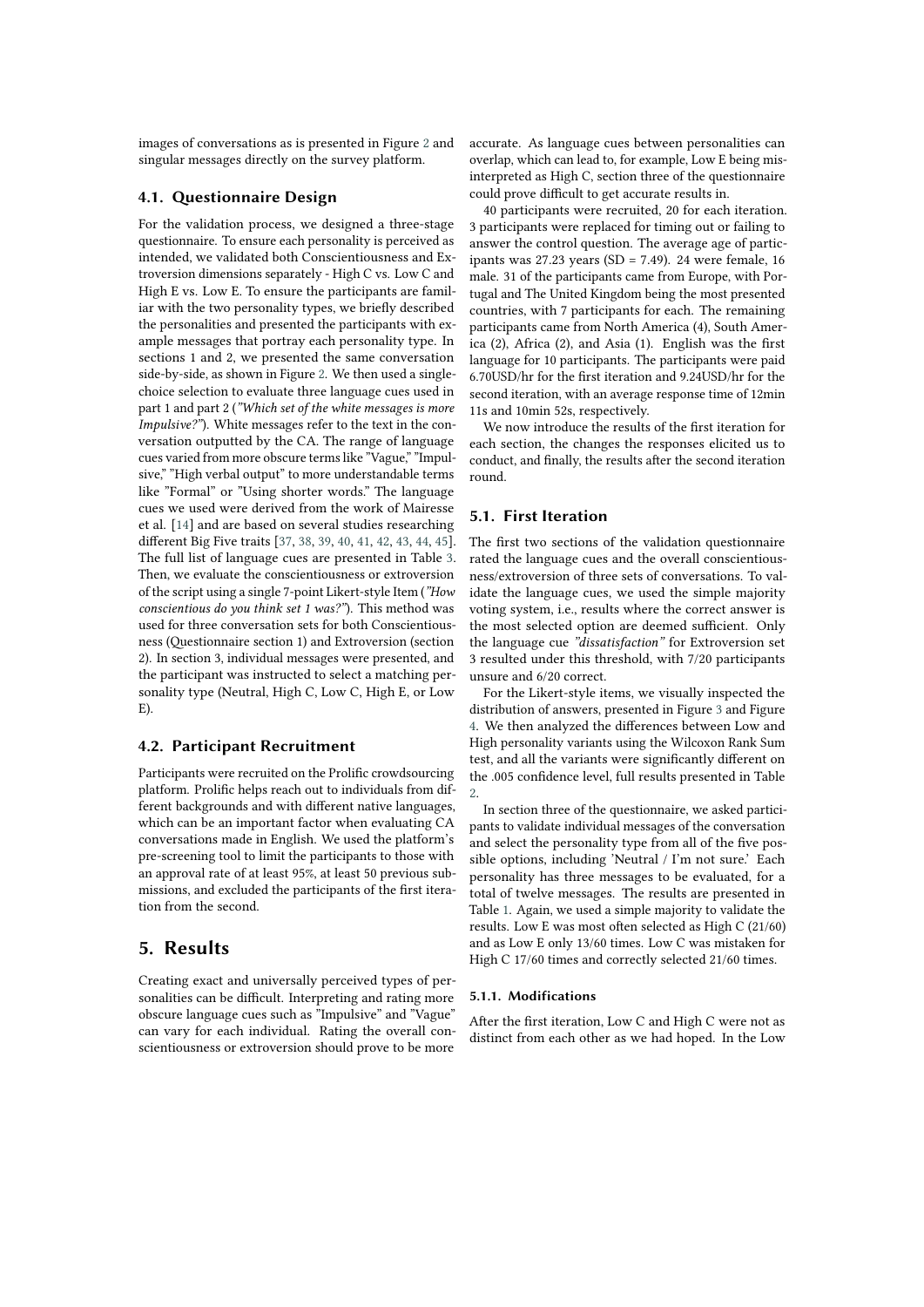images of conversations as is presented in Figure [2](#page-2-2) and singular messages directly on the survey platform.

### **4.1. Questionnaire Design**

For the validation process, we designed a three-stage questionnaire. To ensure each personality is perceived as intended, we validated both Conscientiousness and Extroversion dimensions separately - High C vs. Low C and High E vs. Low E. To ensure the participants are familiar with the two personality types, we briefly described the personalities and presented the participants with example messages that portray each personality type. In sections 1 and 2, we presented the same conversation side-by-side, as shown in Figure [2.](#page-2-2) We then used a singlechoice selection to evaluate three language cues used in part 1 and part 2 (*"Which set of the white messages is more Impulsive?"*). White messages refer to the text in the conversation outputted by the CA. The range of language cues varied from more obscure terms like "Vague," "Impulsive," "High verbal output" to more understandable terms like "Formal" or "Using shorter words." The language cues we used were derived from the work of Mairesse et al. [\[14\]](#page-7-6) and are based on several studies researching different Big Five traits [\[37,](#page-8-9) [38,](#page-8-10) [39,](#page-8-11) [40,](#page-8-12) [41,](#page-8-13) [42,](#page-8-14) [43,](#page-8-15) [44,](#page-8-16) [45\]](#page-8-17). The full list of language cues are presented in Table [3.](#page-9-0) Then, we evaluate the conscientiousness or extroversion of the script using a single 7-point Likert-style Item (*"How conscientious do you think set 1 was?"*). This method was used for three conversation sets for both Conscientiousness (Questionnaire section 1) and Extroversion (section 2). In section 3, individual messages were presented, and the participant was instructed to select a matching personality type (Neutral, High C, Low C, High E, or Low E).

### **4.2. Participant Recruitment**

Participants were recruited on the Prolific crowdsourcing platform. Prolific helps reach out to individuals from different backgrounds and with different native languages, which can be an important factor when evaluating CA conversations made in English. We used the platform's pre-screening tool to limit the participants to those with an approval rate of at least 95%, at least 50 previous submissions, and excluded the participants of the first iteration from the second.

## **5. Results**

Creating exact and universally perceived types of personalities can be difficult. Interpreting and rating more obscure language cues such as "Impulsive" and "Vague" can vary for each individual. Rating the overall conscientiousness or extroversion should prove to be more

accurate. As language cues between personalities can overlap, which can lead to, for example, Low E being misinterpreted as High C, section three of the questionnaire could prove difficult to get accurate results in.

40 participants were recruited, 20 for each iteration. 3 participants were replaced for timing out or failing to answer the control question. The average age of participants was 27.23 years (SD = 7.49). 24 were female, 16 male. 31 of the participants came from Europe, with Portugal and The United Kingdom being the most presented countries, with 7 participants for each. The remaining participants came from North America (4), South America (2), Africa (2), and Asia (1). English was the first language for 10 participants. The participants were paid 6.70USD/hr for the first iteration and 9.24USD/hr for the second iteration, with an average response time of 12min 11s and 10min 52s, respectively.

We now introduce the results of the first iteration for each section, the changes the responses elicited us to conduct, and finally, the results after the second iteration round.

## **5.1. First Iteration**

The first two sections of the validation questionnaire rated the language cues and the overall conscientiousness/extroversion of three sets of conversations. To validate the language cues, we used the simple majority voting system, i.e., results where the correct answer is the most selected option are deemed sufficient. Only the language cue *"dissatisfaction"* for Extroversion set 3 resulted under this threshold, with 7/20 participants unsure and 6/20 correct.

For the Likert-style items, we visually inspected the distribution of answers, presented in Figure [3](#page-4-0) and Figure [4.](#page-5-0) We then analyzed the differences between Low and High personality variants using the Wilcoxon Rank Sum test, and all the variants were significantly different on the .005 confidence level, full results presented in Table [2.](#page-5-1)

In section three of the questionnaire, we asked participants to validate individual messages of the conversation and select the personality type from all of the five possible options, including 'Neutral / I'm not sure.' Each personality has three messages to be evaluated, for a total of twelve messages. The results are presented in Table [1.](#page-4-1) Again, we used a simple majority to validate the results. Low E was most often selected as High C (21/60) and as Low E only 13/60 times. Low C was mistaken for High C 17/60 times and correctly selected 21/60 times.

#### **5.1.1. Modifications**

After the first iteration, Low C and High C were not as distinct from each other as we had hoped. In the Low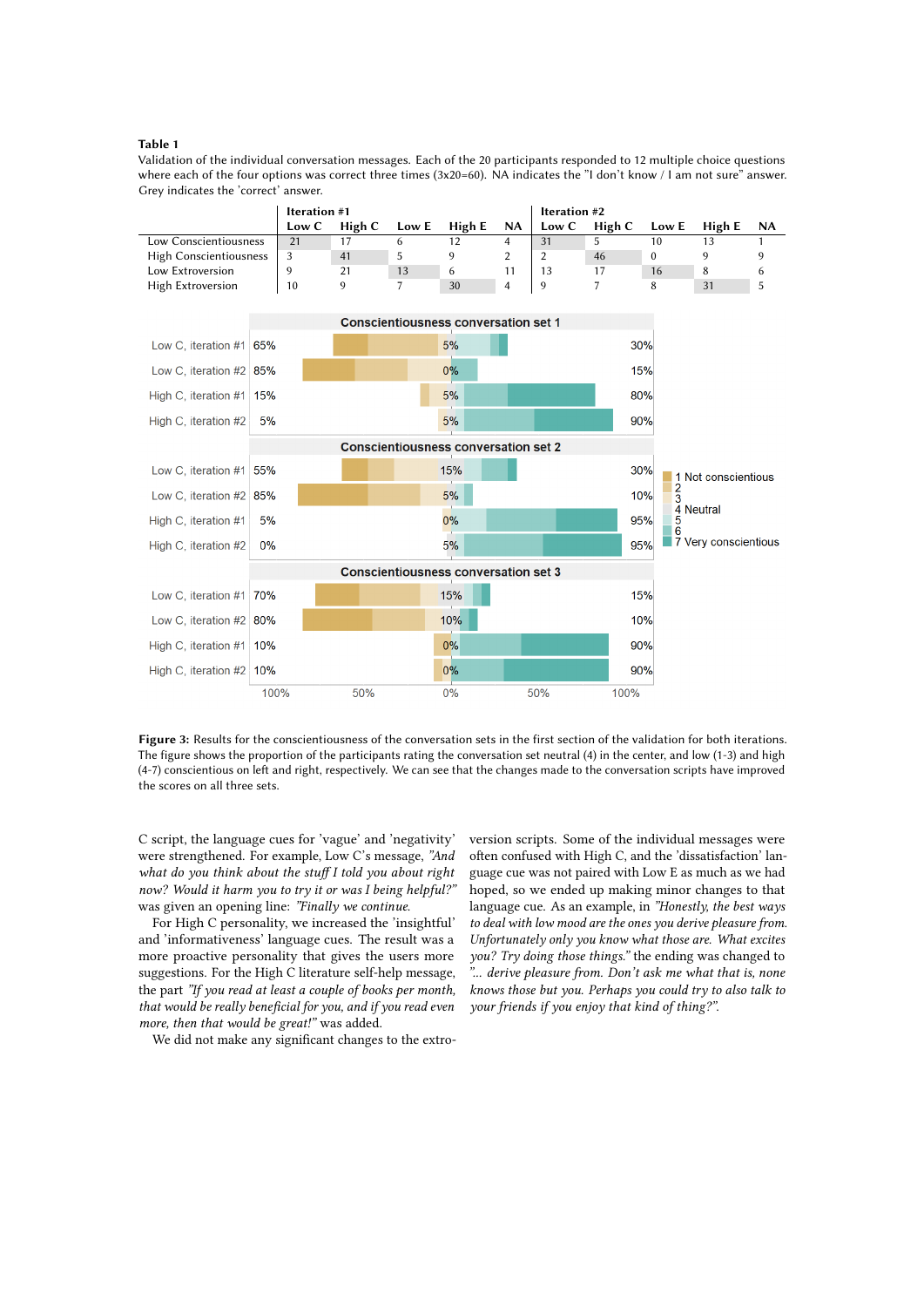#### <span id="page-4-1"></span>**Table 1**

Validation of the individual conversation messages. Each of the 20 participants responded to 12 multiple choice questions where each of the four options was correct three times (3x20=60). NA indicates the "I don't know / I am not sure" answer. Grey indicates the 'correct' answer.

|                               | <b>Iteration #1</b> |        |       |        | Iteration #2 |       |        |       |        |      |
|-------------------------------|---------------------|--------|-------|--------|--------------|-------|--------|-------|--------|------|
|                               | Low C               | High C | Low E | High E | <b>NA</b>    | Low C | High C | Low E | High E | - NA |
| Low Conscientiousness         | 21                  |        |       |        |              | 31    |        | 10    |        |      |
| <b>High Conscientiousness</b> |                     | 41     |       |        |              |       | 46     |       |        |      |
| Low Extroversion              |                     | 21     | 13    | 6      |              |       |        | 16    | 8      |      |
| High Extroversion             | 10                  |        |       | 30     | Δ            |       |        |       | 31     |      |



**Figure 3:** Results for the conscientiousness of the conversation sets in the first section of the validation for both iterations. The figure shows the proportion of the participants rating the conversation set neutral (4) in the center, and low (1-3) and high (4-7) conscientious on left and right, respectively. We can see that the changes made to the conversation scripts have improved the scores on all three sets.

C script, the language cues for 'vague' and 'negativity' were strengthened. For example, Low C's message, *"And what do you think about the stuff I told you about right now? Would it harm you to try it or was I being helpful?"* was given an opening line: *"Finally we continue*.

For High C personality, we increased the 'insightful' and 'informativeness' language cues. The result was a more proactive personality that gives the users more suggestions. For the High C literature self-help message, the part *"If you read at least a couple of books per month, that would be really beneficial for you, and if you read even more, then that would be great!"* was added.

We did not make any significant changes to the extro-

<span id="page-4-0"></span>version scripts. Some of the individual messages were often confused with High C, and the 'dissatisfaction' language cue was not paired with Low E as much as we had hoped, so we ended up making minor changes to that language cue. As an example, in *"Honestly, the best ways to deal with low mood are the ones you derive pleasure from. Unfortunately only you know what those are. What excites you? Try doing those things."* the ending was changed to *"... derive pleasure from. Don't ask me what that is, none knows those but you. Perhaps you could try to also talk to your friends if you enjoy that kind of thing?"*.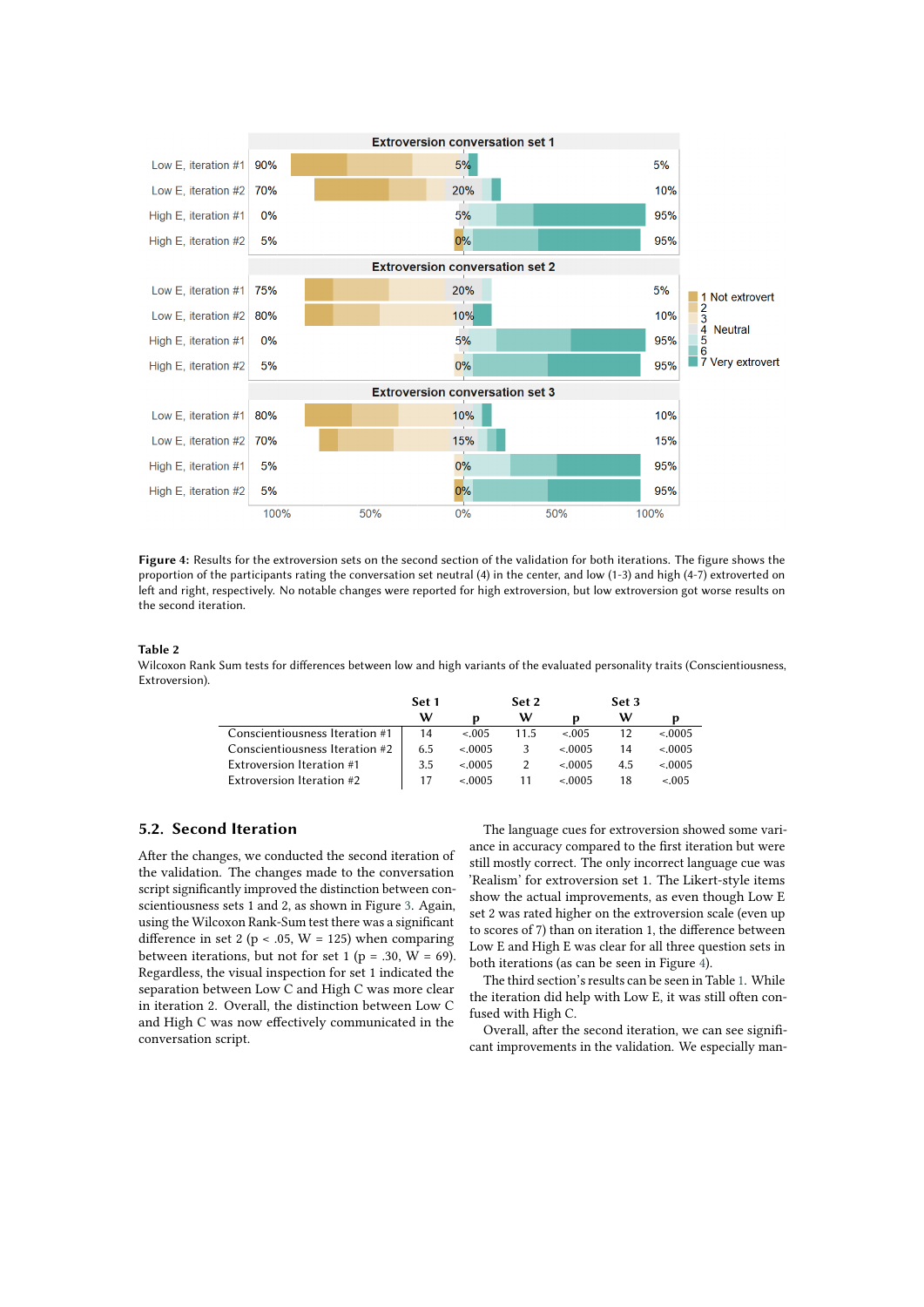

**Figure 4:** Results for the extroversion sets on the second section of the validation for both iterations. The figure shows the proportion of the participants rating the conversation set neutral (4) in the center, and low (1-3) and high (4-7) extroverted on left and right, respectively. No notable changes were reported for high extroversion, but low extroversion got worse results on the second iteration.

#### <span id="page-5-1"></span>**Table 2**

Wilcoxon Rank Sum tests for differences between low and high variants of the evaluated personality traits (Conscientiousness, Extroversion).

<span id="page-5-0"></span>

|                                  | Set 1 |         | Set 2         |          | Set 3 |         |
|----------------------------------|-------|---------|---------------|----------|-------|---------|
|                                  | w     | n       | w             |          | w     |         |
| Conscientiousness Iteration #1   | 14    | $-.005$ | 11.5          | $-.005$  | 12    | < 0.005 |
| Conscientiousness Iteration #2   | 6.5   | < 0.005 | 3             | < 0.0005 | 14    | < 0.005 |
| <b>Extroversion Iteration #1</b> | 3.5   | < 0.005 | $\mathcal{P}$ | < 0.005  | 4.5   | < 0.005 |
| Extroversion Iteration #2        | 17    | < 0.005 |               | < 0005   | 18    | $-.005$ |

## **5.2. Second Iteration**

After the changes, we conducted the second iteration of the validation. The changes made to the conversation script significantly improved the distinction between conscientiousness sets 1 and 2, as shown in Figure [3.](#page-4-0) Again, using the Wilcoxon Rank-Sum test there was a significant difference in set 2 ( $p < .05$ ,  $W = 125$ ) when comparing between iterations, but not for set 1 ( $p = .30$ ,  $W = 69$ ). Regardless, the visual inspection for set 1 indicated the separation between Low C and High C was more clear in iteration 2. Overall, the distinction between Low C and High C was now effectively communicated in the conversation script.

The language cues for extroversion showed some variance in accuracy compared to the first iteration but were still mostly correct. The only incorrect language cue was 'Realism' for extroversion set 1. The Likert-style items show the actual improvements, as even though Low E set 2 was rated higher on the extroversion scale (even up to scores of 7) than on iteration 1, the difference between Low E and High E was clear for all three question sets in both iterations (as can be seen in Figure [4\)](#page-5-0).

The third section's results can be seen in Table [1.](#page-4-1) While the iteration did help with Low E, it was still often confused with High C.

Overall, after the second iteration, we can see significant improvements in the validation. We especially man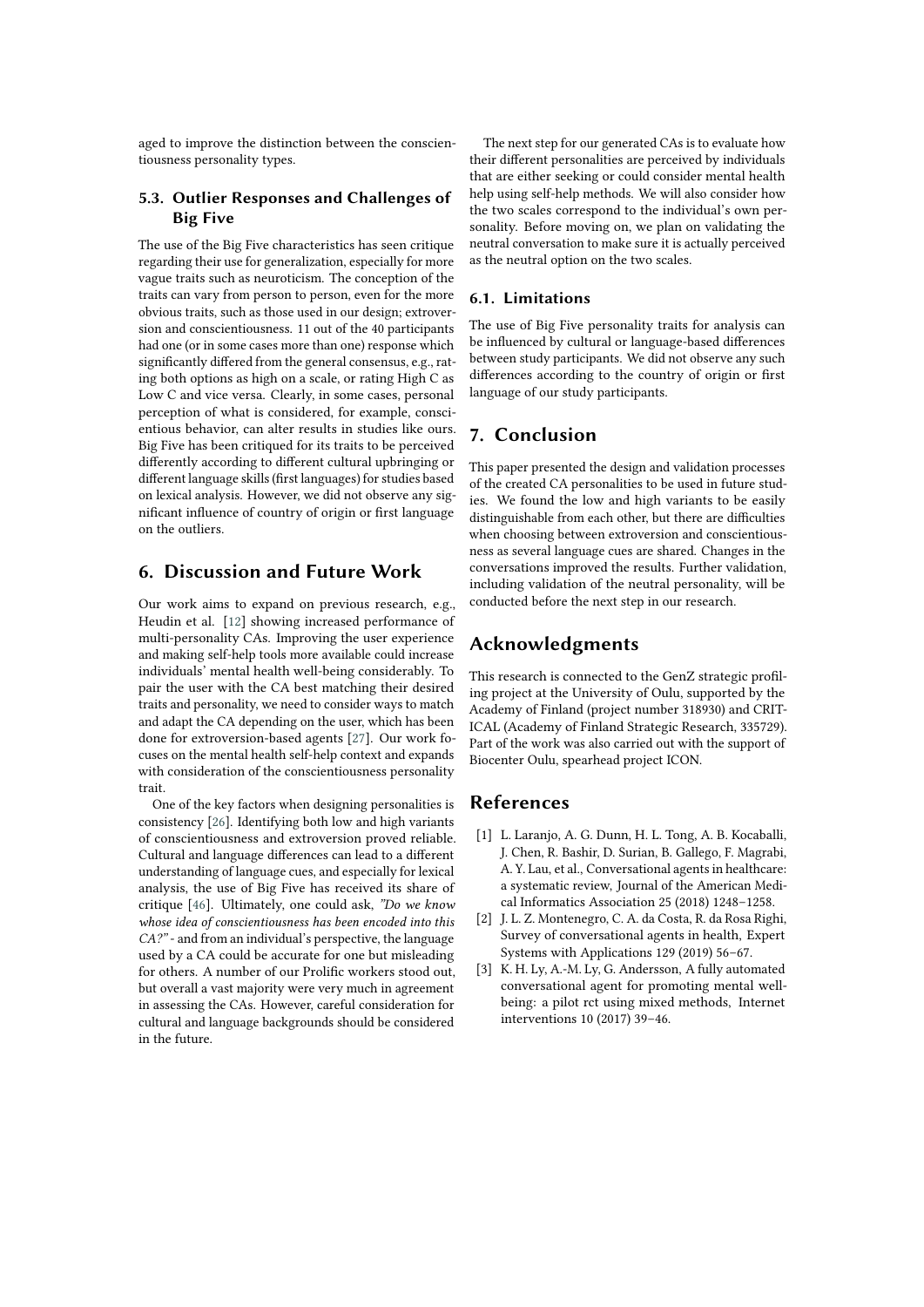aged to improve the distinction between the conscientiousness personality types.

## **5.3. Outlier Responses and Challenges of Big Five**

The use of the Big Five characteristics has seen critique regarding their use for generalization, especially for more vague traits such as neuroticism. The conception of the traits can vary from person to person, even for the more obvious traits, such as those used in our design; extroversion and conscientiousness. 11 out of the 40 participants had one (or in some cases more than one) response which significantly differed from the general consensus, e.g., rating both options as high on a scale, or rating High C as Low C and vice versa. Clearly, in some cases, personal perception of what is considered, for example, conscientious behavior, can alter results in studies like ours. Big Five has been critiqued for its traits to be perceived differently according to different cultural upbringing or different language skills (first languages) for studies based on lexical analysis. However, we did not observe any significant influence of country of origin or first language on the outliers.

## **6. Discussion and Future Work**

Our work aims to expand on previous research, e.g., Heudin et al. [\[12\]](#page-7-3) showing increased performance of multi-personality CAs. Improving the user experience and making self-help tools more available could increase individuals' mental health well-being considerably. To pair the user with the CA best matching their desired traits and personality, we need to consider ways to match and adapt the CA depending on the user, which has been done for extroversion-based agents [\[27\]](#page-7-2). Our work focuses on the mental health self-help context and expands with consideration of the conscientiousness personality trait.

One of the key factors when designing personalities is consistency [\[26\]](#page-7-1). Identifying both low and high variants of conscientiousness and extroversion proved reliable. Cultural and language differences can lead to a different understanding of language cues, and especially for lexical analysis, the use of Big Five has received its share of critique [\[46\]](#page-8-18). Ultimately, one could ask, *"Do we know whose idea of conscientiousness has been encoded into this CA?"* - and from an individual's perspective, the language used by a CA could be accurate for one but misleading for others. A number of our Prolific workers stood out, but overall a vast majority were very much in agreement in assessing the CAs. However, careful consideration for cultural and language backgrounds should be considered in the future.

The next step for our generated CAs is to evaluate how their different personalities are perceived by individuals that are either seeking or could consider mental health help using self-help methods. We will also consider how the two scales correspond to the individual's own personality. Before moving on, we plan on validating the neutral conversation to make sure it is actually perceived as the neutral option on the two scales.

## **6.1. Limitations**

The use of Big Five personality traits for analysis can be influenced by cultural or language-based differences between study participants. We did not observe any such differences according to the country of origin or first language of our study participants.

## **7. Conclusion**

This paper presented the design and validation processes of the created CA personalities to be used in future studies. We found the low and high variants to be easily distinguishable from each other, but there are difficulties when choosing between extroversion and conscientiousness as several language cues are shared. Changes in the conversations improved the results. Further validation, including validation of the neutral personality, will be conducted before the next step in our research.

## **Acknowledgments**

This research is connected to the GenZ strategic profiling project at the University of Oulu, supported by the Academy of Finland (project number 318930) and CRIT-ICAL (Academy of Finland Strategic Research, 335729). Part of the work was also carried out with the support of Biocenter Oulu, spearhead project ICON.

## **References**

- [1] L. Laranjo, A. G. Dunn, H. L. Tong, A. B. Kocaballi, J. Chen, R. Bashir, D. Surian, B. Gallego, F. Magrabi, A. Y. Lau, et al., Conversational agents in healthcare: a systematic review, Journal of the American Medical Informatics Association 25 (2018) 1248–1258.
- [2] J. L. Z. Montenegro, C. A. da Costa, R. da Rosa Righi, Survey of conversational agents in health, Expert Systems with Applications 129 (2019) 56–67.
- [3] K. H. Ly, A.-M. Ly, G. Andersson, A fully automated conversational agent for promoting mental wellbeing: a pilot rct using mixed methods, Internet interventions 10 (2017) 39–46.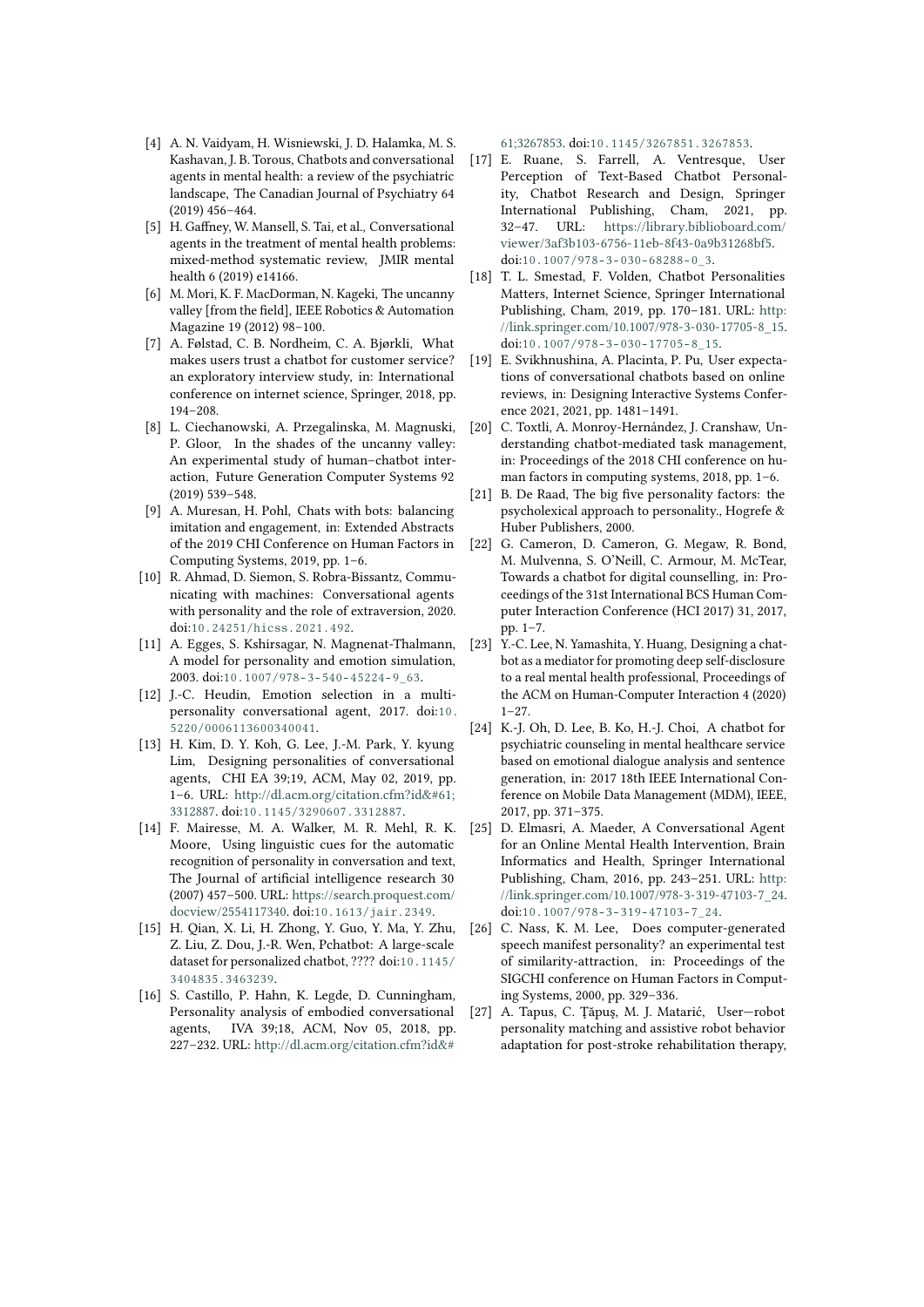- [4] A. N. Vaidyam, H. Wisniewski, J. D. Halamka, M. S. Kashavan, J. B. Torous, Chatbots and conversational agents in mental health: a review of the psychiatric landscape, The Canadian Journal of Psychiatry 64 (2019) 456–464.
- [5] H. Gaffney, W. Mansell, S. Tai, et al., Conversational agents in the treatment of mental health problems: mixed-method systematic review, JMIR mental health 6 (2019) e14166.
- [6] M. Mori, K. F. MacDorman, N. Kageki, The uncanny valley [from the field], IEEE Robotics & Automation Magazine 19 (2012) 98–100.
- [7] A. Følstad, C. B. Nordheim, C. A. Bjørkli, What makes users trust a chatbot for customer service? an exploratory interview study, in: International conference on internet science, Springer, 2018, pp. 194–208.
- [8] L. Ciechanowski, A. Przegalinska, M. Magnuski, P. Gloor, In the shades of the uncanny valley: An experimental study of human–chatbot interaction, Future Generation Computer Systems 92 (2019) 539–548.
- [9] A. Muresan, H. Pohl, Chats with bots: balancing imitation and engagement, in: Extended Abstracts of the 2019 CHI Conference on Human Factors in Computing Systems, 2019, pp. 1–6.
- <span id="page-7-4"></span>[10] R. Ahmad, D. Siemon, S. Robra-Bissantz, Communicating with machines: Conversational agents with personality and the role of extraversion, 2020. doi:[10.24251/hicss.2021.492](http://dx.doi.org/10.24251/hicss.2021.492).
- [11] A. Egges, S. Kshirsagar, N. Magnenat-Thalmann, A model for personality and emotion simulation, 2003. doi:[10.1007/978- 3- 540- 45224- 9\\_63](http://dx.doi.org/10.1007/978-3-540-45224-9_63).
- <span id="page-7-3"></span>[12] J.-C. Heudin, Emotion selection in a multipersonality conversational agent, 2017. doi:[10.](http://dx.doi.org/10.5220/0006113600340041) [5220/0006113600340041](http://dx.doi.org/10.5220/0006113600340041).
- [13] H. Kim, D. Y. Koh, G. Lee, J.-M. Park, Y. kyung Lim, Designing personalities of conversational agents, CHI EA 39;19, ACM, May 02, 2019, pp. 1-6. URL: [http://dl.acm.org/citation.cfm?id=](http://dl.acm.org/citation.cfm?id=3312887) [3312887.](http://dl.acm.org/citation.cfm?id=3312887) doi:[10.1145/3290607.3312887](http://dx.doi.org/10.1145/3290607.3312887).
- <span id="page-7-6"></span>[14] F. Mairesse, M. A. Walker, M. R. Mehl, R. K. Moore, Using linguistic cues for the automatic recognition of personality in conversation and text, The Journal of artificial intelligence research 30 (2007) 457–500. URL: [https://search.proquest.com/](https://search.proquest.com/docview/2554117340) [docview/2554117340.](https://search.proquest.com/docview/2554117340) doi:[10.1613/jair.2349](http://dx.doi.org/10.1613/jair.2349).
- [15] H. Qian, X. Li, H. Zhong, Y. Guo, Y. Ma, Y. Zhu, Z. Liu, Z. Dou, J.-R. Wen, Pchatbot: A large-scale dataset for personalized chatbot, ???? doi:[10.1145/](http://dx.doi.org/10.1145/3404835.3463239) [3404835.3463239](http://dx.doi.org/10.1145/3404835.3463239).
- [16] S. Castillo, P. Hahn, K. Legde, D. Cunningham, Personality analysis of embodied conversational agents, IVA 39;18, ACM, Nov 05, 2018, pp. 227–232. URL: [http://dl.acm.org/citation.cfm?id&#](http://dl.acm.org/citation.cfm?id=3267853)

[61;3267853.](http://dl.acm.org/citation.cfm?id=3267853) doi:[10.1145/3267851.3267853](http://dx.doi.org/10.1145/3267851.3267853).

- [17] E. Ruane, S. Farrell, A. Ventresque, User Perception of Text-Based Chatbot Personality, Chatbot Research and Design, Springer International Publishing, Cham, 2021, pp. 32–47. URL: [https://library.biblioboard.com/](https://library.biblioboard.com/viewer/3af3b103-6756-11eb-8f43-0a9b31268bf5) [viewer/3af3b103-6756-11eb-8f43-0a9b31268bf5.](https://library.biblioboard.com/viewer/3af3b103-6756-11eb-8f43-0a9b31268bf5) doi:10.1007/978-3-030-68288-0\_3.
- [18] T. L. Smestad, F. Volden, Chatbot Personalities Matters, Internet Science, Springer International Publishing, Cham, 2019, pp. 170–181. URL: [http:](http://link.springer.com/10.1007/978-3-030-17705-8_15) [//link.springer.com/10.1007/978-3-030-17705-8\\_15.](http://link.springer.com/10.1007/978-3-030-17705-8_15) doi:[10.1007/978- 3- 030- 17705- 8\\_15](http://dx.doi.org/10.1007/978-3-030-17705-8_15).
- [19] E. Svikhnushina, A. Placinta, P. Pu, User expectations of conversational chatbots based on online reviews, in: Designing Interactive Systems Conference 2021, 2021, pp. 1481–1491.
- [20] C. Toxtli, A. Monroy-Hernández, J. Cranshaw, Understanding chatbot-mediated task management, in: Proceedings of the 2018 CHI conference on human factors in computing systems, 2018, pp. 1–6.
- <span id="page-7-5"></span>[21] B. De Raad, The big five personality factors: the psycholexical approach to personality., Hogrefe & Huber Publishers, 2000.
- <span id="page-7-0"></span>[22] G. Cameron, D. Cameron, G. Megaw, R. Bond, M. Mulvenna, S. O'Neill, C. Armour, M. McTear, Towards a chatbot for digital counselling, in: Proceedings of the 31st International BCS Human Computer Interaction Conference (HCI 2017) 31, 2017, pp. 1–7.
- [23] Y.-C. Lee, N. Yamashita, Y. Huang, Designing a chatbot as a mediator for promoting deep self-disclosure to a real mental health professional, Proceedings of the ACM on Human-Computer Interaction 4 (2020)  $1 - 27$
- [24] K.-J. Oh, D. Lee, B. Ko, H.-J. Choi, A chatbot for psychiatric counseling in mental healthcare service based on emotional dialogue analysis and sentence generation, in: 2017 18th IEEE International Conference on Mobile Data Management (MDM), IEEE, 2017, pp. 371–375.
- [25] D. Elmasri, A. Maeder, A Conversational Agent for an Online Mental Health Intervention, Brain Informatics and Health, Springer International Publishing, Cham, 2016, pp. 243–251. URL: [http:](http://link.springer.com/10.1007/978-3-319-47103-7_24) [//link.springer.com/10.1007/978-3-319-47103-7\\_24.](http://link.springer.com/10.1007/978-3-319-47103-7_24) doi:10.1007/978-3-319-47103-7\_24.
- <span id="page-7-1"></span>[26] C. Nass, K. M. Lee, Does computer-generated speech manifest personality? an experimental test of similarity-attraction, in: Proceedings of the SIGCHI conference on Human Factors in Computing Systems, 2000, pp. 329–336.
- <span id="page-7-2"></span>[27] A. Tapus, C. Ţăpuş, M. J. Matarić, User—robot personality matching and assistive robot behavior adaptation for post-stroke rehabilitation therapy,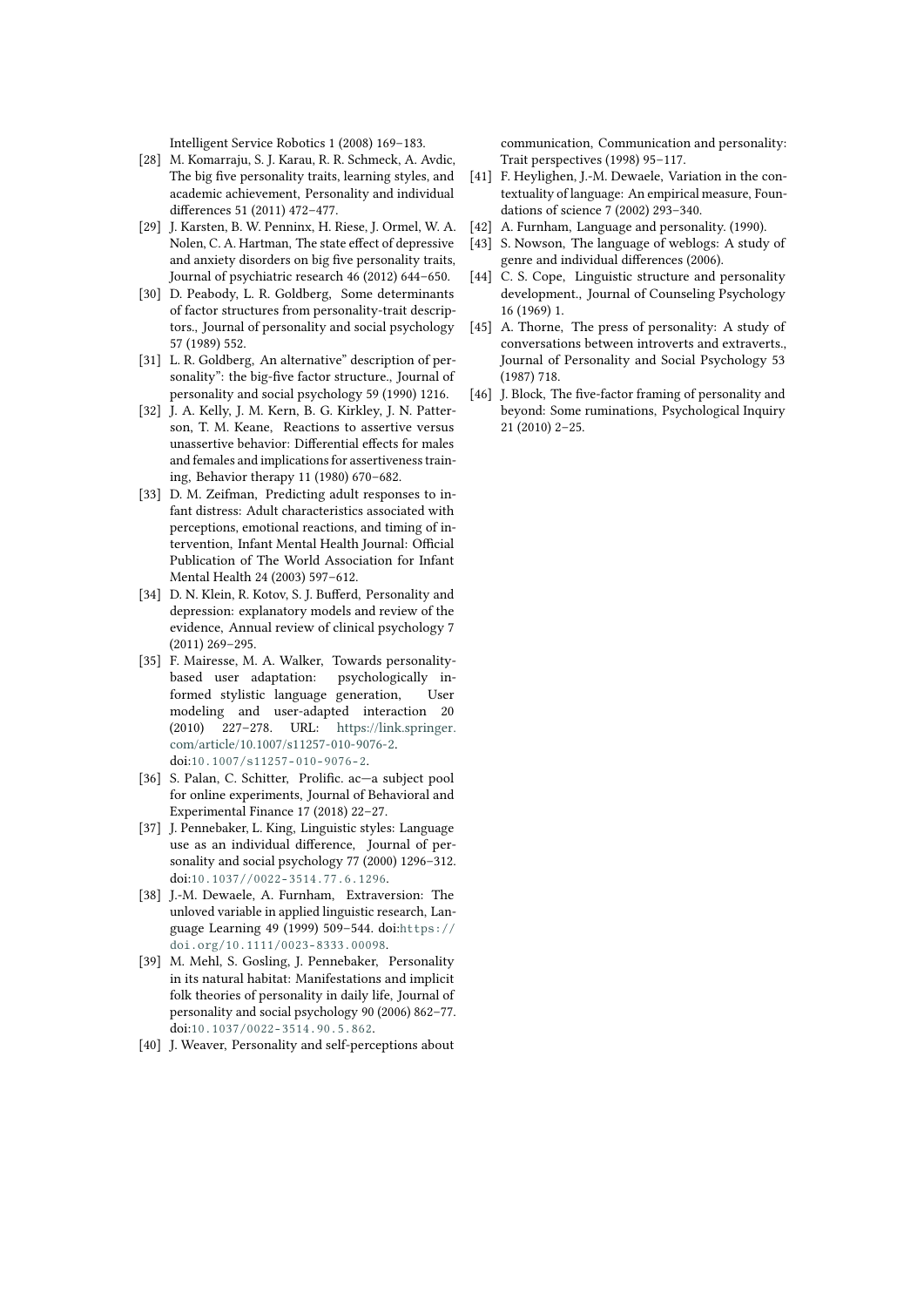Intelligent Service Robotics 1 (2008) 169–183.

- <span id="page-8-0"></span>[28] M. Komarraju, S. J. Karau, R. R. Schmeck, A. Avdic, The big five personality traits, learning styles, and academic achievement, Personality and individual differences 51 (2011) 472–477.
- <span id="page-8-1"></span>[29] J. Karsten, B. W. Penninx, H. Riese, J. Ormel, W. A. Nolen, C. A. Hartman, The state effect of depressive and anxiety disorders on big five personality traits, Journal of psychiatric research 46 (2012) 644–650.
- <span id="page-8-2"></span>[30] D. Peabody, L. R. Goldberg, Some determinants of factor structures from personality-trait descriptors., Journal of personality and social psychology 57 (1989) 552.
- <span id="page-8-3"></span>[31] L. R. Goldberg, An alternative" description of personality": the big-five factor structure., Journal of personality and social psychology 59 (1990) 1216.
- <span id="page-8-4"></span>[32] J. A. Kelly, J. M. Kern, B. G. Kirkley, J. N. Patterson, T. M. Keane, Reactions to assertive versus unassertive behavior: Differential effects for males and females and implications for assertiveness training, Behavior therapy 11 (1980) 670–682.
- <span id="page-8-5"></span>[33] D. M. Zeifman, Predicting adult responses to infant distress: Adult characteristics associated with perceptions, emotional reactions, and timing of intervention, Infant Mental Health Journal: Official Publication of The World Association for Infant Mental Health 24 (2003) 597–612.
- <span id="page-8-6"></span>[34] D. N. Klein, R. Kotov, S. J. Bufferd, Personality and depression: explanatory models and review of the evidence, Annual review of clinical psychology 7 (2011) 269–295.
- <span id="page-8-7"></span>[35] F. Mairesse, M. A. Walker, Towards personalitybased user adaptation: psychologically informed stylistic language generation, User modeling and user-adapted interaction 20 (2010) 227–278. URL: [https://link.springer.](https://link.springer.com/article/10.1007/s11257-010-9076-2) [com/article/10.1007/s11257-010-9076-2.](https://link.springer.com/article/10.1007/s11257-010-9076-2) doi:[10.1007/s11257- 010- 9076- 2](http://dx.doi.org/10.1007/s11257-010-9076-2).
- <span id="page-8-8"></span>[36] S. Palan, C. Schitter, Prolific. ac—a subject pool for online experiments, Journal of Behavioral and Experimental Finance 17 (2018) 22–27.
- <span id="page-8-9"></span>[37] J. Pennebaker, L. King, Linguistic styles: Language use as an individual difference, Journal of personality and social psychology 77 (2000) 1296–312. doi:[10.1037//0022- 3514.77.6.1296](http://dx.doi.org/10.1037//0022-3514.77.6.1296).
- <span id="page-8-10"></span>[38] J.-M. Dewaele, A. Furnham, Extraversion: The unloved variable in applied linguistic research, Language Learning 49 (1999) 509–544. doi:[https://](http://dx.doi.org/https://doi.org/10.1111/0023-8333.00098) [doi.org/10.1111/0023- 8333.00098](http://dx.doi.org/https://doi.org/10.1111/0023-8333.00098).
- <span id="page-8-11"></span>[39] M. Mehl, S. Gosling, J. Pennebaker, Personality in its natural habitat: Manifestations and implicit folk theories of personality in daily life, Journal of personality and social psychology 90 (2006) 862–77. doi:[10.1037/0022- 3514.90.5.862](http://dx.doi.org/10.1037/0022-3514.90.5.862).
- <span id="page-8-12"></span>[40] J. Weaver, Personality and self-perceptions about

communication, Communication and personality: Trait perspectives (1998) 95–117.

- <span id="page-8-13"></span>[41] F. Heylighen, J.-M. Dewaele, Variation in the contextuality of language: An empirical measure, Foundations of science 7 (2002) 293–340.
- <span id="page-8-14"></span>[42] A. Furnham, Language and personality. (1990).
- <span id="page-8-15"></span>[43] S. Nowson, The language of weblogs: A study of genre and individual differences (2006).
- <span id="page-8-16"></span>[44] C. S. Cope, Linguistic structure and personality development., Journal of Counseling Psychology 16 (1969) 1.
- <span id="page-8-17"></span>[45] A. Thorne, The press of personality: A study of conversations between introverts and extraverts., Journal of Personality and Social Psychology 53 (1987) 718.
- <span id="page-8-18"></span>[46] J. Block, The five-factor framing of personality and beyond: Some ruminations, Psychological Inquiry 21 (2010) 2–25.